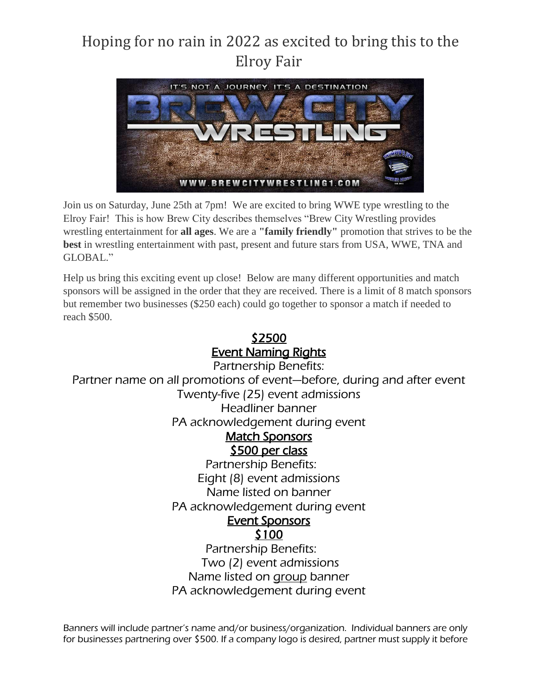## Hoping for no rain in 2022 as excited to bring this to the Elroy Fair



Join us on Saturday, June 25th at 7pm! We are excited to bring WWE type wrestling to the Elroy Fair! This is how Brew City describes themselves "Brew City Wrestling provides wrestling entertainment for **all ages**. We are a **"family friendly"** promotion that strives to be the **best** in wrestling entertainment with past, present and future stars from USA, WWE, TNA and GLOBAL."

Help us bring this exciting event up close! Below are many different opportunities and match sponsors will be assigned in the order that they are received. There is a limit of 8 match sponsors but remember two businesses (\$250 each) could go together to sponsor a match if needed to reach \$500.

## \$2500 Event Naming Rights

Partnership Benefits: Partner name on all promotions of event—before, during and after event Twenty-five (25) event admissions Headliner banner PA acknowledgement during event Match Sponsors \$500 per class Partnership Benefits: Eight (8) event admissions Name listed on banner PA acknowledgement during event Event Sponsors \$100 Partnership Benefits: Two (2) event admissions Name listed on **group** banner

PA acknowledgement during event

Banners will include partner's name and/or business/organization. Individual banners are only for businesses partnering over \$500. If a company logo is desired, partner must supply it before